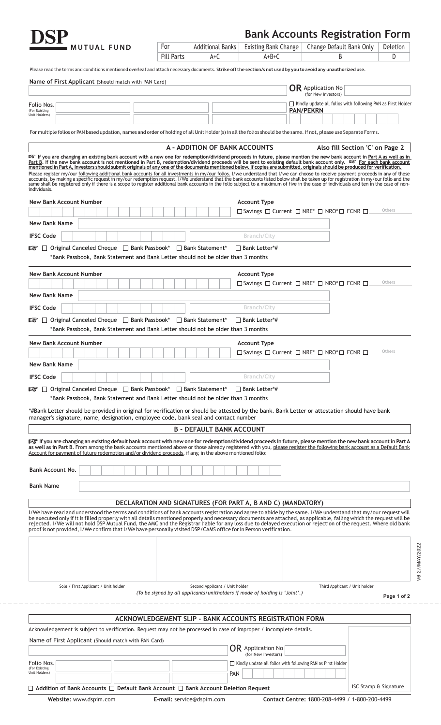| <b>DSP</b> |                   |  |
|------------|-------------------|--|
|            | <b>MUTUAL FUN</b> |  |

| <b>Bank Accounts Registration Form</b> |  |  |
|----------------------------------------|--|--|
|----------------------------------------|--|--|

|                                                                                                                                                                                                                                                                                                                                                                                                                                                                                                                                                                                                                                                                                                                                                                                                                                                                                                                                                                                                                                                                                                                    |                   |                                 |                                                                                                 | Bank Accounts Registration Form                                    |             |
|--------------------------------------------------------------------------------------------------------------------------------------------------------------------------------------------------------------------------------------------------------------------------------------------------------------------------------------------------------------------------------------------------------------------------------------------------------------------------------------------------------------------------------------------------------------------------------------------------------------------------------------------------------------------------------------------------------------------------------------------------------------------------------------------------------------------------------------------------------------------------------------------------------------------------------------------------------------------------------------------------------------------------------------------------------------------------------------------------------------------|-------------------|---------------------------------|-------------------------------------------------------------------------------------------------|--------------------------------------------------------------------|-------------|
| <b>MUTUAL FUND</b>                                                                                                                                                                                                                                                                                                                                                                                                                                                                                                                                                                                                                                                                                                                                                                                                                                                                                                                                                                                                                                                                                                 | For               | <b>Additional Banks</b>         | <b>Existing Bank Change</b>                                                                     | Change Default Bank Only                                           | Deletion    |
|                                                                                                                                                                                                                                                                                                                                                                                                                                                                                                                                                                                                                                                                                                                                                                                                                                                                                                                                                                                                                                                                                                                    | <b>Fill Parts</b> | $A+C$                           | $A+B+C$                                                                                         | B                                                                  | D           |
| Please read the terms and conditions mentioned overleaf and attach necessary documents. Strike off the section/s not used by you to avoid any unauthorized use.                                                                                                                                                                                                                                                                                                                                                                                                                                                                                                                                                                                                                                                                                                                                                                                                                                                                                                                                                    |                   |                                 |                                                                                                 |                                                                    |             |
| Name of First Applicant (Should match with PAN Card)                                                                                                                                                                                                                                                                                                                                                                                                                                                                                                                                                                                                                                                                                                                                                                                                                                                                                                                                                                                                                                                               |                   |                                 |                                                                                                 |                                                                    |             |
|                                                                                                                                                                                                                                                                                                                                                                                                                                                                                                                                                                                                                                                                                                                                                                                                                                                                                                                                                                                                                                                                                                                    |                   |                                 |                                                                                                 | <b>OR</b> Application No<br>(for New Investors)                    |             |
| Folio Nos.                                                                                                                                                                                                                                                                                                                                                                                                                                                                                                                                                                                                                                                                                                                                                                                                                                                                                                                                                                                                                                                                                                         |                   |                                 |                                                                                                 | $\Box$ Kindly update all folios with following PAN as First Holder |             |
| (For Existing<br>Unit Holders)                                                                                                                                                                                                                                                                                                                                                                                                                                                                                                                                                                                                                                                                                                                                                                                                                                                                                                                                                                                                                                                                                     |                   |                                 |                                                                                                 | <b>PAN/PEKRN</b>                                                   |             |
|                                                                                                                                                                                                                                                                                                                                                                                                                                                                                                                                                                                                                                                                                                                                                                                                                                                                                                                                                                                                                                                                                                                    |                   |                                 |                                                                                                 |                                                                    |             |
| For multiple folios or PAN based updation, names and order of holding of all Unit Holder(s) in all the folios should be the same. If not, please use Separate Forms.                                                                                                                                                                                                                                                                                                                                                                                                                                                                                                                                                                                                                                                                                                                                                                                                                                                                                                                                               |                   |                                 |                                                                                                 |                                                                    |             |
|                                                                                                                                                                                                                                                                                                                                                                                                                                                                                                                                                                                                                                                                                                                                                                                                                                                                                                                                                                                                                                                                                                                    |                   |                                 | A - ADDITION OF BANK ACCOUNTS                                                                   | Also fill Section 'C' on Page 2                                    |             |
| If you are changing an existing bank account with a new one for redemption/dividend proceeds in future, please mention the new bank account in Part A as well as in<br>Part B. If the new bank account is not mentioned in Part B, redemption/dividend proceeds will be sent to existing default bank account only. Let For each bank account<br>mentioned in Part A, Investors should submit originals of any one of the documents mentioned below. If copies are submitted, originals should be produced for verification.<br>Please register my/our following additional bank accounts for all investments in my/our folios. I/we understand that I/we can choose to receive payment proceeds in any of these<br>accounts, by making a specific request in my/our redemption request. I/We understand that the bank accounts listed below shall be taken up for registration in my/our folio and the<br>same shall be registered only if there is a scope to register additional bank accounts in the folio subject to a maximum of five in the case of individuals and ten in the case of non-<br>individuals. |                   |                                 |                                                                                                 |                                                                    |             |
| <b>New Bank Account Number</b>                                                                                                                                                                                                                                                                                                                                                                                                                                                                                                                                                                                                                                                                                                                                                                                                                                                                                                                                                                                                                                                                                     |                   |                                 | <b>Account Type</b>                                                                             |                                                                    |             |
|                                                                                                                                                                                                                                                                                                                                                                                                                                                                                                                                                                                                                                                                                                                                                                                                                                                                                                                                                                                                                                                                                                                    |                   |                                 | □ Savings □ Current □ NRE* □ NRO*□ FCNR □                                                       |                                                                    | Others      |
| <b>New Bank Name</b>                                                                                                                                                                                                                                                                                                                                                                                                                                                                                                                                                                                                                                                                                                                                                                                                                                                                                                                                                                                                                                                                                               |                   |                                 |                                                                                                 |                                                                    |             |
| <b>IFSC Code</b>                                                                                                                                                                                                                                                                                                                                                                                                                                                                                                                                                                                                                                                                                                                                                                                                                                                                                                                                                                                                                                                                                                   |                   |                                 | Branch/City                                                                                     |                                                                    |             |
| ■ □ Original Canceled Cheque □ Bank Passbook* □ Bank Statement                                                                                                                                                                                                                                                                                                                                                                                                                                                                                                                                                                                                                                                                                                                                                                                                                                                                                                                                                                                                                                                     |                   |                                 | $\Box$ Bank Letter*#                                                                            |                                                                    |             |
| *Bank Passbook, Bank Statement and Bank Letter should not be older than 3 months                                                                                                                                                                                                                                                                                                                                                                                                                                                                                                                                                                                                                                                                                                                                                                                                                                                                                                                                                                                                                                   |                   |                                 |                                                                                                 |                                                                    |             |
|                                                                                                                                                                                                                                                                                                                                                                                                                                                                                                                                                                                                                                                                                                                                                                                                                                                                                                                                                                                                                                                                                                                    |                   |                                 |                                                                                                 |                                                                    |             |
| <b>New Bank Account Number</b>                                                                                                                                                                                                                                                                                                                                                                                                                                                                                                                                                                                                                                                                                                                                                                                                                                                                                                                                                                                                                                                                                     |                   |                                 | <b>Account Type</b><br>□ Savings □ Current □ NRE* □ NRO*□ FCNR □                                |                                                                    | Others      |
| <b>New Bank Name</b>                                                                                                                                                                                                                                                                                                                                                                                                                                                                                                                                                                                                                                                                                                                                                                                                                                                                                                                                                                                                                                                                                               |                   |                                 |                                                                                                 |                                                                    |             |
|                                                                                                                                                                                                                                                                                                                                                                                                                                                                                                                                                                                                                                                                                                                                                                                                                                                                                                                                                                                                                                                                                                                    |                   |                                 |                                                                                                 |                                                                    |             |
| <b>IFSC Code</b>                                                                                                                                                                                                                                                                                                                                                                                                                                                                                                                                                                                                                                                                                                                                                                                                                                                                                                                                                                                                                                                                                                   |                   |                                 | Branch/City                                                                                     |                                                                    |             |
| □ Original Canceled Cheque □ Bank Passbook* □ Bank Statement*<br>rð.<br>*Bank Passbook, Bank Statement and Bank Letter should not be older than 3 months                                                                                                                                                                                                                                                                                                                                                                                                                                                                                                                                                                                                                                                                                                                                                                                                                                                                                                                                                           |                   |                                 | $\Box$ Bank Letter*#                                                                            |                                                                    |             |
|                                                                                                                                                                                                                                                                                                                                                                                                                                                                                                                                                                                                                                                                                                                                                                                                                                                                                                                                                                                                                                                                                                                    |                   |                                 |                                                                                                 |                                                                    |             |
| <b>New Bank Account Number</b><br><b>New Bank Name</b>                                                                                                                                                                                                                                                                                                                                                                                                                                                                                                                                                                                                                                                                                                                                                                                                                                                                                                                                                                                                                                                             |                   |                                 | <b>Account Type</b><br>$\Box$ Savings $\Box$ Current $\Box$ NRE* $\Box$ NRO* $\Box$ FCNR $\Box$ |                                                                    | Others      |
| <b>IFSC Code</b>                                                                                                                                                                                                                                                                                                                                                                                                                                                                                                                                                                                                                                                                                                                                                                                                                                                                                                                                                                                                                                                                                                   |                   |                                 | <b>Branch/City</b>                                                                              |                                                                    |             |
| $\Box$ Original Canceled Cheque $\Box$ Bank Passbook*<br>rð.                                                                                                                                                                                                                                                                                                                                                                                                                                                                                                                                                                                                                                                                                                                                                                                                                                                                                                                                                                                                                                                       |                   | □ Bank Statement*               | $\Box$ Bank Letter*#                                                                            |                                                                    |             |
| *Bank Passbook, Bank Statement and Bank Letter should not be older than 3 months                                                                                                                                                                                                                                                                                                                                                                                                                                                                                                                                                                                                                                                                                                                                                                                                                                                                                                                                                                                                                                   |                   |                                 |                                                                                                 |                                                                    |             |
| *#Bank Letter should be provided in original for verification or should be attested by the bank. Bank Letter or attestation should have bank                                                                                                                                                                                                                                                                                                                                                                                                                                                                                                                                                                                                                                                                                                                                                                                                                                                                                                                                                                       |                   |                                 |                                                                                                 |                                                                    |             |
| manager's signature, name, designation, employee code, bank seal and contact number                                                                                                                                                                                                                                                                                                                                                                                                                                                                                                                                                                                                                                                                                                                                                                                                                                                                                                                                                                                                                                |                   |                                 |                                                                                                 |                                                                    |             |
|                                                                                                                                                                                                                                                                                                                                                                                                                                                                                                                                                                                                                                                                                                                                                                                                                                                                                                                                                                                                                                                                                                                    |                   | <b>B - DEFAULT BANK ACCOUNT</b> |                                                                                                 |                                                                    |             |
| 暖 If you are changing an existing default bank account with new one for redemption/dividend proceeds in future, please mention the new bank account in Part A<br>as well as in Part B. From among the bank accounts mentioned above or those already registered with you, please register the following bank account as a Default Bank                                                                                                                                                                                                                                                                                                                                                                                                                                                                                                                                                                                                                                                                                                                                                                             |                   |                                 |                                                                                                 |                                                                    |             |
| Account for payment of future redemption and/or dividend proceeds, if any, in the above mentioned folio:                                                                                                                                                                                                                                                                                                                                                                                                                                                                                                                                                                                                                                                                                                                                                                                                                                                                                                                                                                                                           |                   |                                 |                                                                                                 |                                                                    |             |
| <b>Bank Account No.</b>                                                                                                                                                                                                                                                                                                                                                                                                                                                                                                                                                                                                                                                                                                                                                                                                                                                                                                                                                                                                                                                                                            |                   |                                 |                                                                                                 |                                                                    |             |
|                                                                                                                                                                                                                                                                                                                                                                                                                                                                                                                                                                                                                                                                                                                                                                                                                                                                                                                                                                                                                                                                                                                    |                   |                                 |                                                                                                 |                                                                    |             |
| <b>Bank Name</b>                                                                                                                                                                                                                                                                                                                                                                                                                                                                                                                                                                                                                                                                                                                                                                                                                                                                                                                                                                                                                                                                                                   |                   |                                 |                                                                                                 |                                                                    |             |
|                                                                                                                                                                                                                                                                                                                                                                                                                                                                                                                                                                                                                                                                                                                                                                                                                                                                                                                                                                                                                                                                                                                    |                   |                                 | DECLARATION AND SIGNATURES (FOR PART A, B AND C) (MANDATORY)                                    |                                                                    |             |
| I/We have read and understood the terms and conditions of bank accounts registration and agree to abide by the same. I/We understand that my/our request will<br>be executed only if it is filled properly with all details mentioned properly and necessary documents are attached, as applicable, failing which the request will be                                                                                                                                                                                                                                                                                                                                                                                                                                                                                                                                                                                                                                                                                                                                                                              |                   |                                 |                                                                                                 |                                                                    |             |
| rejected. I/We will not hold DSP Mutual Fund, the AMC and the Registrar liable for any loss due to delayed execution or rejection of the request. Where old bank<br>proof is not provided, I/We confirm that I/We have personally visited DSP/CAMS office for In Person verification.                                                                                                                                                                                                                                                                                                                                                                                                                                                                                                                                                                                                                                                                                                                                                                                                                              |                   |                                 |                                                                                                 |                                                                    |             |
|                                                                                                                                                                                                                                                                                                                                                                                                                                                                                                                                                                                                                                                                                                                                                                                                                                                                                                                                                                                                                                                                                                                    |                   |                                 |                                                                                                 |                                                                    |             |
|                                                                                                                                                                                                                                                                                                                                                                                                                                                                                                                                                                                                                                                                                                                                                                                                                                                                                                                                                                                                                                                                                                                    |                   |                                 |                                                                                                 |                                                                    |             |
|                                                                                                                                                                                                                                                                                                                                                                                                                                                                                                                                                                                                                                                                                                                                                                                                                                                                                                                                                                                                                                                                                                                    |                   |                                 |                                                                                                 |                                                                    |             |
|                                                                                                                                                                                                                                                                                                                                                                                                                                                                                                                                                                                                                                                                                                                                                                                                                                                                                                                                                                                                                                                                                                                    |                   |                                 |                                                                                                 |                                                                    |             |
|                                                                                                                                                                                                                                                                                                                                                                                                                                                                                                                                                                                                                                                                                                                                                                                                                                                                                                                                                                                                                                                                                                                    |                   |                                 |                                                                                                 |                                                                    |             |
| Sole / First Applicant / Unit holder                                                                                                                                                                                                                                                                                                                                                                                                                                                                                                                                                                                                                                                                                                                                                                                                                                                                                                                                                                                                                                                                               |                   | Second Applicant / Unit holder  | (To be signed by all applicants/unitholders if mode of holding is 'Joint'.)                     | Third Applicant / Unit holder                                      | Page 1 of 2 |
|                                                                                                                                                                                                                                                                                                                                                                                                                                                                                                                                                                                                                                                                                                                                                                                                                                                                                                                                                                                                                                                                                                                    |                   |                                 |                                                                                                 |                                                                    |             |
|                                                                                                                                                                                                                                                                                                                                                                                                                                                                                                                                                                                                                                                                                                                                                                                                                                                                                                                                                                                                                                                                                                                    |                   |                                 | <b>ACKNOWLEDGEMENT SLIP - BANK ACCOUNTS REGISTRATION FORM</b>                                   |                                                                    |             |
| Acknowledgement is subject to verification. Request may not be processed in case of improper / incomplete details.                                                                                                                                                                                                                                                                                                                                                                                                                                                                                                                                                                                                                                                                                                                                                                                                                                                                                                                                                                                                 |                   |                                 |                                                                                                 |                                                                    |             |
| Name of First Applicant (Should match with PAN Card)                                                                                                                                                                                                                                                                                                                                                                                                                                                                                                                                                                                                                                                                                                                                                                                                                                                                                                                                                                                                                                                               |                   |                                 |                                                                                                 |                                                                    |             |
|                                                                                                                                                                                                                                                                                                                                                                                                                                                                                                                                                                                                                                                                                                                                                                                                                                                                                                                                                                                                                                                                                                                    |                   |                                 | <b>OR</b> Application No<br>(for New Investors)                                                 |                                                                    |             |
| Folio Nos.<br>(For Existing                                                                                                                                                                                                                                                                                                                                                                                                                                                                                                                                                                                                                                                                                                                                                                                                                                                                                                                                                                                                                                                                                        |                   |                                 | $\Box$ Kindly update all folios with following PAN as First Holder                              |                                                                    |             |
| Unit Holders)                                                                                                                                                                                                                                                                                                                                                                                                                                                                                                                                                                                                                                                                                                                                                                                                                                                                                                                                                                                                                                                                                                      |                   |                                 | <b>PAN</b>                                                                                      |                                                                    |             |
|                                                                                                                                                                                                                                                                                                                                                                                                                                                                                                                                                                                                                                                                                                                                                                                                                                                                                                                                                                                                                                                                                                                    |                   |                                 |                                                                                                 |                                                                    |             |

**Addition of Bank Accounts Default Bank Account Bank Account Deletion Request**

**Website:** www.dspim.com **E-mail:** service@dspim.com **Contact Centre:** 1800-208-4499 / 1-800-200-4499

ISC Stamp & Signature

V6 27/MAY/2022

V6 27/MAY/2022